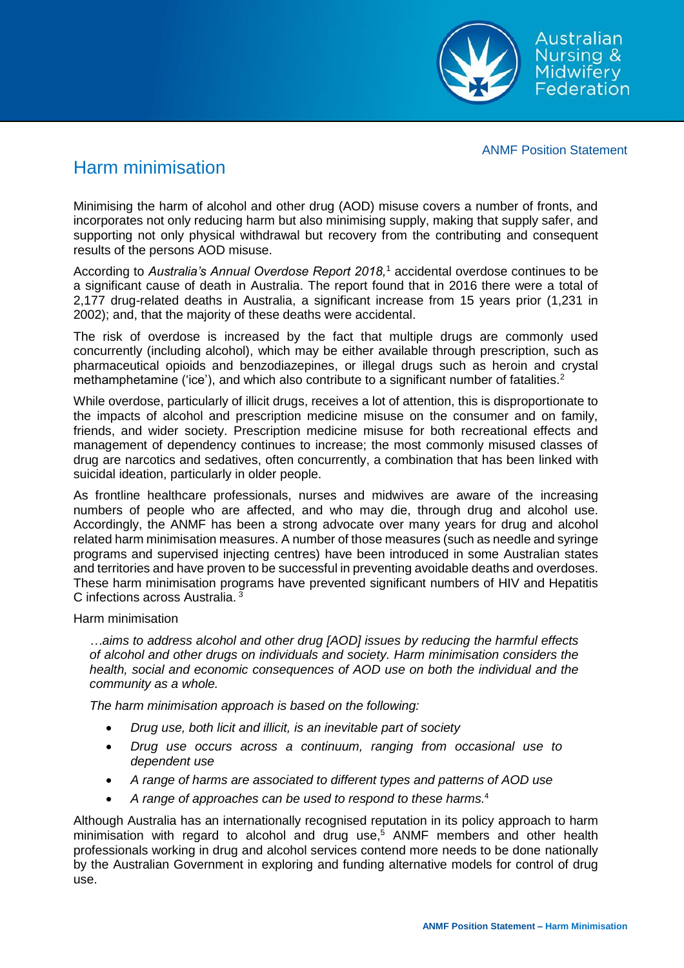

ANMF Position Statement

## Harm minimisation

Minimising the harm of alcohol and other drug (AOD) misuse covers a number of fronts, and incorporates not only reducing harm but also minimising supply, making that supply safer, and supporting not only physical withdrawal but recovery from the contributing and consequent results of the persons AOD misuse.

According to *Australia's Annual Overdose Report 2018,* <sup>1</sup> accidental overdose continues to be a significant cause of death in Australia. The report found that in 2016 there were a total of 2,177 drug-related deaths in Australia, a significant increase from 15 years prior (1,231 in 2002); and, that the majority of these deaths were accidental.

The risk of overdose is increased by the fact that multiple drugs are commonly used concurrently (including alcohol), which may be either available through prescription, such as pharmaceutical opioids and benzodiazepines, or illegal drugs such as heroin and crystal methamphetamine ('ice'), and which also contribute to a significant number of fatalities.<sup>2</sup>

While overdose, particularly of illicit drugs, receives a lot of attention, this is disproportionate to the impacts of alcohol and prescription medicine misuse on the consumer and on family, friends, and wider society. Prescription medicine misuse for both recreational effects and management of dependency continues to increase; the most commonly misused classes of drug are narcotics and sedatives, often concurrently, a combination that has been linked with suicidal ideation, particularly in older people.

As frontline healthcare professionals, nurses and midwives are aware of the increasing numbers of people who are affected, and who may die, through drug and alcohol use. Accordingly, the ANMF has been a strong advocate over many years for drug and alcohol related harm minimisation measures. A number of those measures (such as needle and syringe programs and supervised injecting centres) have been introduced in some Australian states and territories and have proven to be successful in preventing avoidable deaths and overdoses. These harm minimisation programs have prevented significant numbers of HIV and Hepatitis C infections across Australia.  $3\overline{)}$ 

Harm minimisation

*…aims to address alcohol and other drug [AOD] issues by reducing the harmful effects of alcohol and other drugs on individuals and society. Harm minimisation considers the health, social and economic consequences of AOD use on both the individual and the community as a whole.*

*The harm minimisation approach is based on the following:*

- *Drug use, both licit and illicit, is an inevitable part of society*
- *Drug use occurs across a continuum, ranging from occasional use to dependent use*
- *A range of harms are associated to different types and patterns of AOD use*
- *A range of approaches can be used to respond to these harms.* 4

Although Australia has an internationally recognised reputation in its policy approach to harm minimisation with regard to alcohol and drug use.<sup>5</sup> ANMF members and other health professionals working in drug and alcohol services contend more needs to be done nationally by the Australian Government in exploring and funding alternative models for control of drug use.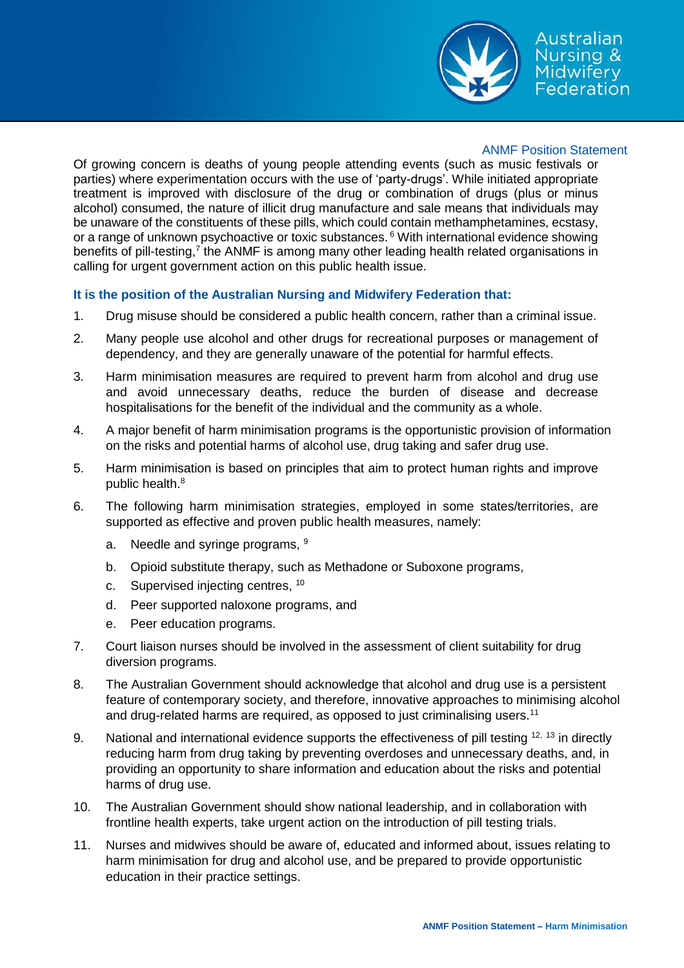

## ANMF Position Statement

Of growing concern is deaths of young people attending events (such as music festivals or parties) where experimentation occurs with the use of 'party-drugs'. While initiated appropriate treatment is improved with disclosure of the drug or combination of drugs (plus or minus alcohol) consumed, the nature of illicit drug manufacture and sale means that individuals may be unaware of the constituents of these pills, which could contain methamphetamines, ecstasy, or a range of unknown psychoactive or toxic substances. <sup>6</sup> With international evidence showing benefits of pill-testing,<sup>7</sup> the ANMF is among many other leading health related organisations in calling for urgent government action on this public health issue.

## **It is the position of the Australian Nursing and Midwifery Federation that:**

- 1. Drug misuse should be considered a public health concern, rather than a criminal issue.
- 2. Many people use alcohol and other drugs for recreational purposes or management of dependency, and they are generally unaware of the potential for harmful effects.
- 3. Harm minimisation measures are required to prevent harm from alcohol and drug use and avoid unnecessary deaths, reduce the burden of disease and decrease hospitalisations for the benefit of the individual and the community as a whole.
- 4. A major benefit of harm minimisation programs is the opportunistic provision of information on the risks and potential harms of alcohol use, drug taking and safer drug use.
- 5. Harm minimisation is based on principles that aim to protect human rights and improve public health.<sup>8</sup>
- 6. The following harm minimisation strategies, employed in some states/territories, are supported as effective and proven public health measures, namely:
	- a. Needle and syringe programs, <sup>9</sup>
	- b. Opioid substitute therapy, such as Methadone or Suboxone programs,
	- c. Supervised injecting centres, <sup>10</sup>
	- d. Peer supported naloxone programs, and
	- e. Peer education programs.
- 7. Court liaison nurses should be involved in the assessment of client suitability for drug diversion programs.
- 8. The Australian Government should acknowledge that alcohol and drug use is a persistent feature of contemporary society, and therefore, innovative approaches to minimising alcohol and drug-related harms are required, as opposed to just criminalising users.<sup>11</sup>
- 9. National and international evidence supports the effectiveness of pill testing  $12, 13$  in directly reducing harm from drug taking by preventing overdoses and unnecessary deaths, and, in providing an opportunity to share information and education about the risks and potential harms of drug use.
- 10. The Australian Government should show national leadership, and in collaboration with frontline health experts, take urgent action on the introduction of pill testing trials.
- 11. Nurses and midwives should be aware of, educated and informed about, issues relating to harm minimisation for drug and alcohol use, and be prepared to provide opportunistic education in their practice settings.